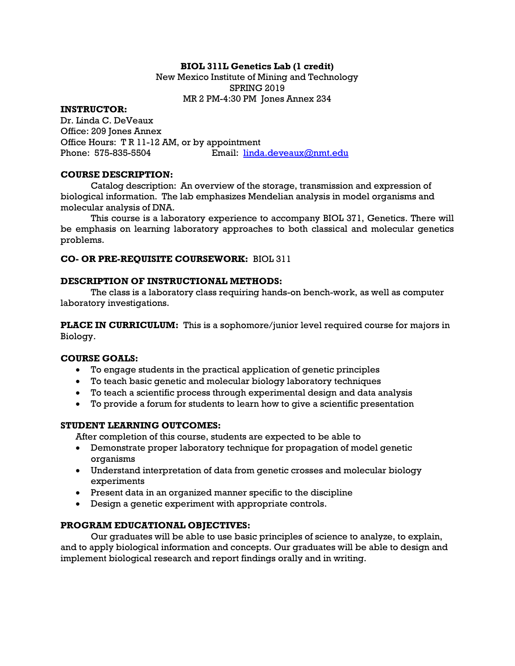# BIOL 311L Genetics Lab (1 credit)

New Mexico Institute of Mining and Technology SPRING 2019 MR 2 PM-4:30 PM Jones Annex 234

#### INSTRUCTOR:

Dr. Linda C. DeVeaux Office: 209 Jones Annex Office Hours: T R 11-12 AM, or by appointment Phone: 575-835-5504 Email: linda.deveaux@nmt.edu

#### COURSE DESCRIPTION:

Catalog description: An overview of the storage, transmission and expression of biological information. The lab emphasizes Mendelian analysis in model organisms and molecular analysis of DNA.

This course is a laboratory experience to accompany BIOL 371, Genetics. There will be emphasis on learning laboratory approaches to both classical and molecular genetics problems.

## CO- OR PRE-REQUISITE COURSEWORK: BIOL 311

## DESCRIPTION OF INSTRUCTIONAL METHODS:

The class is a laboratory class requiring hands-on bench-work, as well as computer laboratory investigations.

**PLACE IN CURRICULUM:** This is a sophomore/junior level required course for majors in Biology.

## COURSE GOALS:

- To engage students in the practical application of genetic principles
- To teach basic genetic and molecular biology laboratory techniques
- To teach a scientific process through experimental design and data analysis
- To provide a forum for students to learn how to give a scientific presentation

# STUDENT LEARNING OUTCOMES:

After completion of this course, students are expected to be able to

- Demonstrate proper laboratory technique for propagation of model genetic organisms
- Understand interpretation of data from genetic crosses and molecular biology experiments
- Present data in an organized manner specific to the discipline
- Design a genetic experiment with appropriate controls.

## PROGRAM EDUCATIONAL OBJECTIVES:

Our graduates will be able to use basic principles of science to analyze, to explain, and to apply biological information and concepts. Our graduates will be able to design and implement biological research and report findings orally and in writing.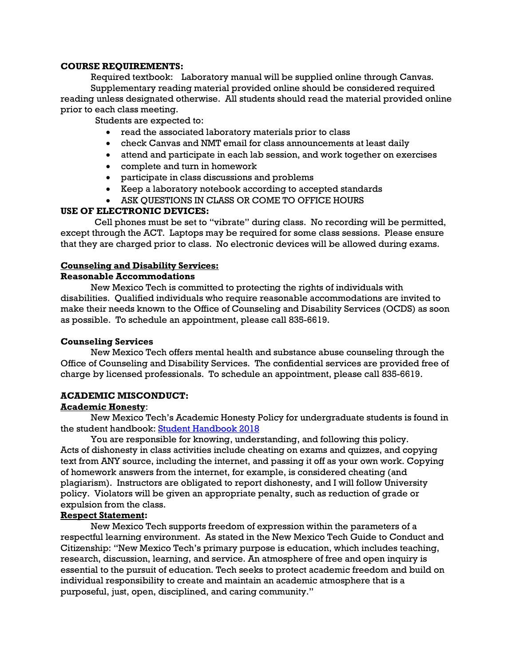#### COURSE REQUIREMENTS:

Required textbook: Laboratory manual will be supplied online through Canvas. Supplementary reading material provided online should be considered required reading unless designated otherwise. All students should read the material provided online prior to each class meeting.

Students are expected to:

- read the associated laboratory materials prior to class
- check Canvas and NMT email for class announcements at least daily
- attend and participate in each lab session, and work together on exercises
- complete and turn in homework
- participate in class discussions and problems
- Keep a laboratory notebook according to accepted standards
- ASK QUESTIONS IN CLASS OR COME TO OFFICE HOURS

## USE OF ELECTRONIC DEVICES:

Cell phones must be set to "vibrate" during class. No recording will be permitted, except through the ACT. Laptops may be required for some class sessions. Please ensure that they are charged prior to class. No electronic devices will be allowed during exams.

# Counseling and Disability Services:

## Reasonable Accommodations

New Mexico Tech is committed to protecting the rights of individuals with disabilities. Qualified individuals who require reasonable accommodations are invited to make their needs known to the Office of Counseling and Disability Services (OCDS) as soon as possible. To schedule an appointment, please call 835-6619.

## Counseling Services

New Mexico Tech offers mental health and substance abuse counseling through the Office of Counseling and Disability Services. The confidential services are provided free of charge by licensed professionals. To schedule an appointment, please call 835-6619.

## ACADEMIC MISCONDUCT:

## Academic Honesty:

New Mexico Tech's Academic Honesty Policy for undergraduate students is found in the student handbook: Student Handbook 2018

You are responsible for knowing, understanding, and following this policy. Acts of dishonesty in class activities include cheating on exams and quizzes, and copying text from ANY source, including the internet, and passing it off as your own work. Copying of homework answers from the internet, for example, is considered cheating (and plagiarism). Instructors are obligated to report dishonesty, and I will follow University policy. Violators will be given an appropriate penalty, such as reduction of grade or expulsion from the class.

# Respect Statement:

New Mexico Tech supports freedom of expression within the parameters of a respectful learning environment. As stated in the New Mexico Tech Guide to Conduct and Citizenship: "New Mexico Tech's primary purpose is education, which includes teaching, research, discussion, learning, and service. An atmosphere of free and open inquiry is essential to the pursuit of education. Tech seeks to protect academic freedom and build on individual responsibility to create and maintain an academic atmosphere that is a purposeful, just, open, disciplined, and caring community."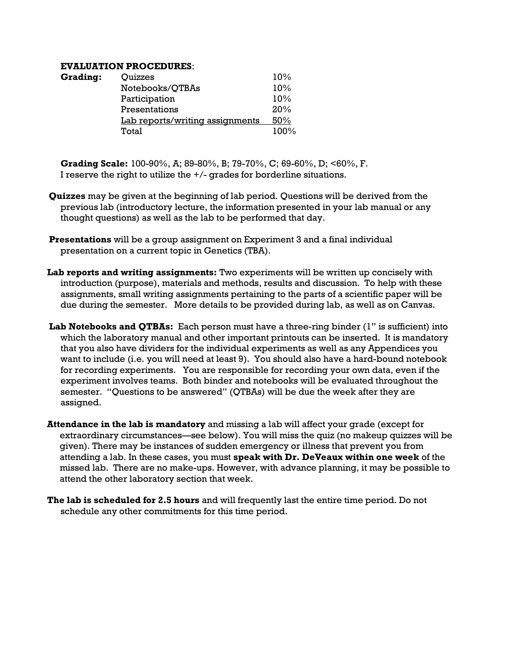#### EVALUATION PROCEDURES:

| <b>Grading:</b> | Quizzes                         | 10%  |
|-----------------|---------------------------------|------|
|                 | Notebooks/QTBAs                 | 10%  |
|                 | Participation                   | 10%  |
|                 | Presentations                   | 20%  |
|                 | Lab reports/writing assignments | 50%  |
|                 | Total                           | 100% |

Grading Scale: 100-90%, A; 89-80%, B; 79-70%, C; 69-60%, D; <60%, F. I reserve the right to utilize the +/- grades for borderline situations.

- Quizzes may be given at the beginning of lab period. Questions will be derived from the previous lab (introductory lecture, the information presented in your lab manual or any thought questions) as well as the lab to be performed that day.
- Presentations will be a group assignment on Experiment 3 and a final individual presentation on a current topic in Genetics (TBA).
- Lab reports and writing assignments: Two experiments will be written up concisely with introduction (purpose), materials and methods, results and discussion. To help with these assignments, small writing assignments pertaining to the parts of a scientific paper will be due during the semester. More details to be provided during lab, as well as on Canvas.
- Lab Notebooks and QTBAs: Each person must have a three-ring binder (1" is sufficient) into which the laboratory manual and other important printouts can be inserted. It is mandatory that you also have dividers for the individual experiments as well as any Appendices you want to include (i.e. you will need at least 9). You should also have a hard-bound notebook for recording experiments. You are responsible for recording your own data, even if the experiment involves teams. Both binder and notebooks will be evaluated throughout the semester. "Questions to be answered" (QTBAs) will be due the week after they are assigned.
- Attendance in the lab is mandatory and missing a lab will affect your grade (except for extraordinary circumstances—see below). You will miss the quiz (no makeup quizzes will be given). There may be instances of sudden emergency or illness that prevent you from attending a lab. In these cases, you must speak with Dr. DeVeaux within one week of the missed lab. There are no make-ups. However, with advance planning, it may be possible to attend the other laboratory section that week.
- The lab is scheduled for 2.5 hours and will frequently last the entire time period. Do not schedule any other commitments for this time period.